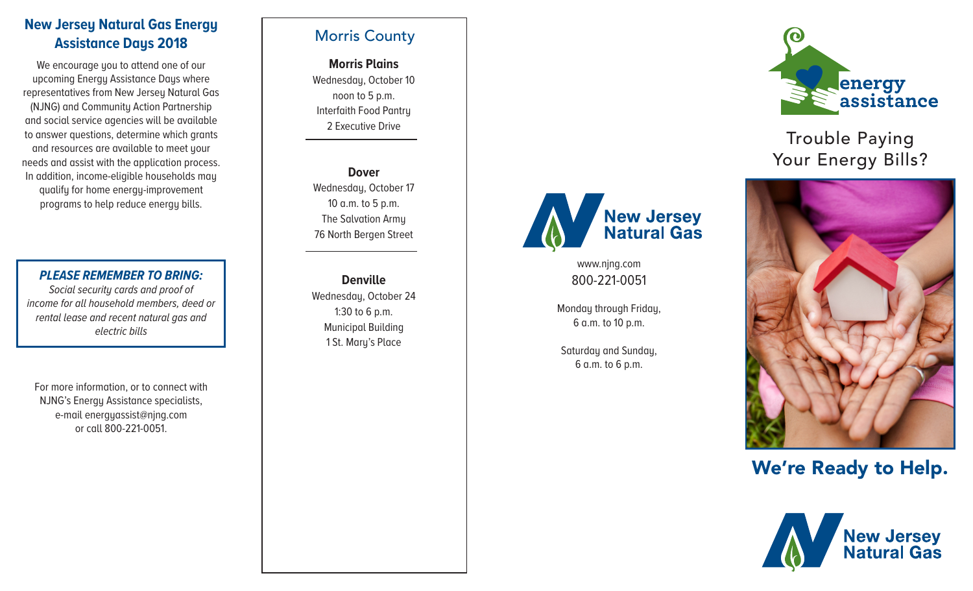## **New Jersey Natural Gas Energy Assistance Days 2018**

We encourage you to attend one of our upcoming Energy Assistance Days where representatives from New Jersey Natural Gas (NJNG) and Community Action Partnership and social service agencies will be available to answer questions, determine which grants and resources are available to meet your needs and assist with the application process. In addition, income-eligible households may qualify for home energy-improvement programs to help reduce energy bills.

*PLEASE REMEMBER TO BRING: Social security cards and proof of income for all household members, deed or rental lease and recent natural gas and electric bills*

For more information, or to connect with NJNG's Energy Assistance specialists, e-mail energyassist@njng.com or call 800-221-0051.

## Morris County

**Morris Plains** Wednesday, October 10 noon to 5 p.m. Interfaith Food Pantry 2 Executive Drive

**Dover** Wednesday, October 17 10 a.m. to 5 p.m. The Salvation Army 76 North Bergen Street

**Denville** Wednesday, October 24 1:30 to 6 p.m. Municipal Building 1 St. Mary's Place



## Trouble Paying Your Energy Bills?



www.njng.com 800-221-0051

**New Jersey<br>Natural Gas** 

Monday through Friday, 6 a.m. to 10 p.m.

Saturday and Sunday, 6 a.m. to 6 p.m.

# We're Ready to Help.